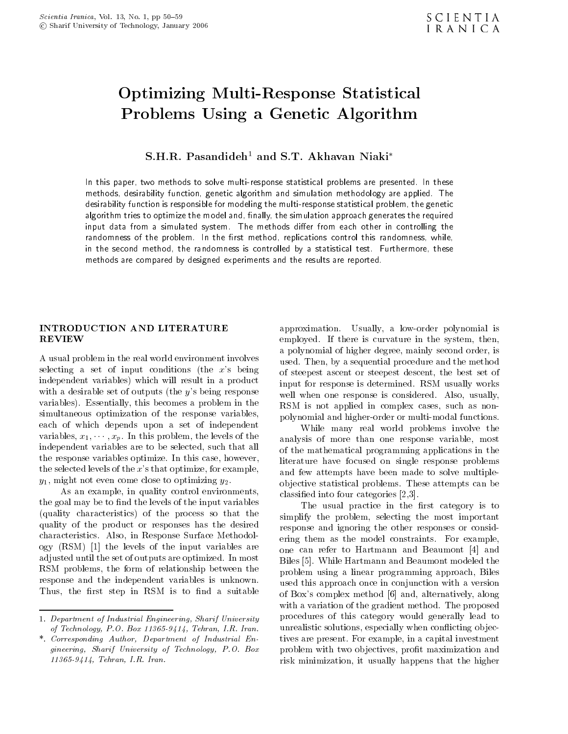# Optimizing Multi-Response Statistical Problems Using <sup>a</sup> Genetic Algorithm

 $S.H.R.$  Pasandideh<sup>1</sup> and S.T. Akhavan Niaki<sup>\*</sup>

In this paper, two methods to solve multi-response statistical problems are presented. In these methods, desirability function, genetic algorithm and simulation methodology are applied. The desirability function is responsible for modeling the multi-response statistical problem, the geneticalgorithm tries to optimize the model and, finally, the simulation approach generates the required input data from <sup>a</sup> simulated system. The methods dier from each other in controlling the randomness of the problem. In the rst method, replications control this randomness, while, in the second method, the randomness is controlled by <sup>a</sup> statistical test. Furthermore, these methods are compared by designed experiments and the results are reported.

# INTRODUCTION AND LITERATURE

<sup>A</sup> usual problem in the real world environment involves selecting a set of input conditions (the  $x$ 's being independent variables) which will result in <sup>a</sup> product with a desirable set of outputs (the  $y$ 's being response variables). Essentially, this becomes a problem in the simultaneous optimization of the response variables, each of which depends upon <sup>a</sup> set of independent variables,  $x_1, \dots, x_p$ . In this problem, the levels of the independent variables are to be selected, such that all the response variables optimize. In this case, however, the selected levels of the  $x$ 's that optimize, for example,  $y_1$ , might not even come close to optimizing  $y_2$ .

As an example, in quality control environments, the goal may be to find the levels of the input variables (quality characteristics) of the process so that the quality of the product or responses has the desired characteristics. Also, in Response Surface Methodology (RSM) [1] the levels of the input variables are adjusted until the set of outputs are optimized. In most RSM problems, the form of relationship between the response and the independent variables is unknown. Thus, the first step in RSM is to find a suitable

approximation. Usually, <sup>a</sup> low-order polynomial is employed. If there is curvature in the system, then, <sup>a</sup> polynomial of higher degree, mainly second order, is used. Then, by a sequential procedure and the method of steepest ascent or steepest descent, the best set of input for response is determined. RSM usually works well when one response is considered. Also, usually, RSM is not applied in complex cases, such as nonpolynomial and higher-order or multi-modal functions.

While many real world problems involve the analysis of more than one response variable, most of the mathematical programming applications in the literature have focused on single response problems and few attempts have been made to solve multipleobjective statistical problems. These attempts can be classied into four categories [2,3].

The usual practice in the first category is to simplify the problem, selecting the most important response and ignoring the other responses or considering them as the model constraints. For example, one can refer to Hartmann and Beaumont [4] and Biles [5]. While Hartmann and Beaumont modeled the problem using <sup>a</sup> linear programming approach, Biles used this approach once in conjunction with a version of Box's complex method [6] and, alternatively, along with a variation of the gradient method. The proposed procedures of this category would generally lead to unrealistic solutions, especially when conflicting objectives are present. For example, in a capital investment problem with two objectives, profit maximization and risk minimization, it usually happens that the higher

<sup>1.</sup> Department of Industrial Engineering, Sharif University of Technology, P.O. Box 11365-9414, Tehran, I.R. Iran.

<sup>\*.</sup> Corresponding Author, Department of Industrial Engineering, Sharif University of Technology, P.O. Box 11365-9414, Tehran, I.R. Iran.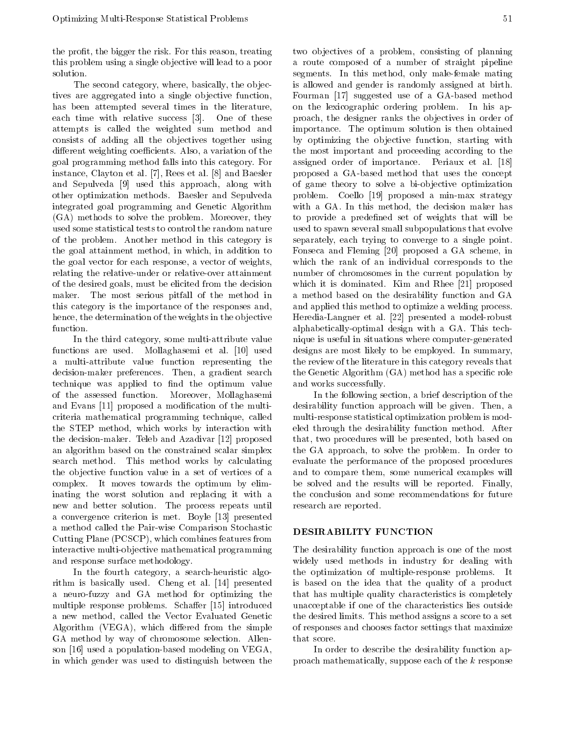the profit, the bigger the risk. For this reason, treating this problem using a single ob jective will lead to a poor solution.

The second category, where, basically, the objectives are aggregated into a single objective function, has been attempted several times in the literature, each time with relative success [3]. One of these attempts is called the weighted sum method and consists of adding all the objectives together using different weighting coefficients. Also, a variation of the goal programming method falls into this category. For instance, Clayton et al. [7], Rees et al. [8] and Baesler and Sepulveda [9] used this approach, along with other optimization methods. Baesler and Sepulveda integrated goal programming and Genetic Algorithm (GA) methods to solve the problem. Moreover, they used some statistical tests to control the random nature of the problem. Another method in this category is the goal attainment method, in which, in addition to the goal vector for each response, a vector of weights, relating the relative-under or relative-over attainment of the desired goals, must be elicited from the decision maker. The most serious pitfall of the method in this category is the importance of the responses and, hence, the determination of the weights in the objective function.

In the third category, some multi-attribute value functions are used. Mollaghasemi et al. [10] used <sup>a</sup> multi-attribute value function representing the decision-maker preferences. Then, <sup>a</sup> gradient search technique was applied to find the optimum value of the assessed function. Moreover, Mollaghasemi and Evans [11] proposed <sup>a</sup> modication of the multicriteria mathematical programming technique, called the STEP method, which works by interaction with the decision-maker. Teleb and Azadivar [12] proposed an algorithm based on the constrained scalar simplex search method. This method works by calculating the ob jective function value in <sup>a</sup> set of vertices of <sup>a</sup> complex. It moves towards the optimum by eliminating the worst solution and replacing it with <sup>a</sup> new and better solution. The process repeats until a convergence criterion is met. Boyle [13] presented <sup>a</sup> method called the Pair-wise Comparison Stochastic Cutting Plane (PCSCP), which combines features from interactive multi-ob jective mathematical programming and response surface methodology.

In the fourth category, <sup>a</sup> search-heuristic algorithm is basically used. Cheng et al. [14] presented <sup>a</sup> neuro-fuzzy and GA method for optimizing the multiple response problems. Schaffer [15] introduced <sup>a</sup> new method, called the Vector Evaluated Genetic Algorithm (VEGA), which differed from the simple GA method by way of chromosome selection. Allenson [16] used a population-based modeling on VEGA, in which gender was used to distinguish between the two objectives of a problem, consisting of planning <sup>a</sup> route composed of <sup>a</sup> number of straight pipeline segments. In this method, only male-female mating is allowed and gender is randomly assigned at birth. Fourman [17] suggested use of a GA-based method on the lexicographic ordering problem. In his approach, the designer ranks the objectives in order of importance. The optimum solution is then obtained by optimizing the objective function, starting with the most important and proceeding according to the assigned order of importance. Periaux et al. [18] proposed <sup>a</sup> GA-based method that uses the concept of game theory to solve a bi-objective optimization problem. Coello [19] proposed <sup>a</sup> min-max strategy with <sup>a</sup> GA. In this method, the decision maker has to provide a predefined set of weights that will be used to spawn several small subpopulations that evolve separately, each trying to converge to <sup>a</sup> single point. Fonseca and Fleming [20] proposed <sup>a</sup> GA scheme, in which the rank of an individual corresponds to the number of chromosomes in the current population by which it is dominated. Kim and Rhee [21] proposed <sup>a</sup> method based on the desirability function and GA and applied this method to optimize a welding process. Heredia-Langner et al. [22] presented <sup>a</sup> model-robust alphabetically-optimal design with <sup>a</sup> GA. This technique is useful in situations where computer-generated designs are most likely to be employed. In summary, the review of the literature in this category reveals that the Genetic Algorithm (GA) method has a specific role and works successfully.

In the following section, a brief description of the desirability function approach will be given. Then, <sup>a</sup> multi-response statistical optimization problem is modeled through the desirability function method. After that, two procedures will be presented, both based on the GA approach, to solve the problem. In order to evaluate the performance of the proposed procedures and to compare them, some numerical examples will be solved and the results will be reported. Finally, the conclusion and some recommendations for future research are reported.

### DESIRABILITY FUNCTION

The desirability function approach is one of the most widely used methods in industry for dealing with the optimization of multiple-response problems. It is based on the idea that the quality of <sup>a</sup> product that has multiple quality characteristics is completely unacceptable if one of the characteristics lies outside the desired limits. This method assigns a score to a set of responses and chooses factor settings that maximize that score.

In order to describe the desirability function approach mathematically, suppose each of the k response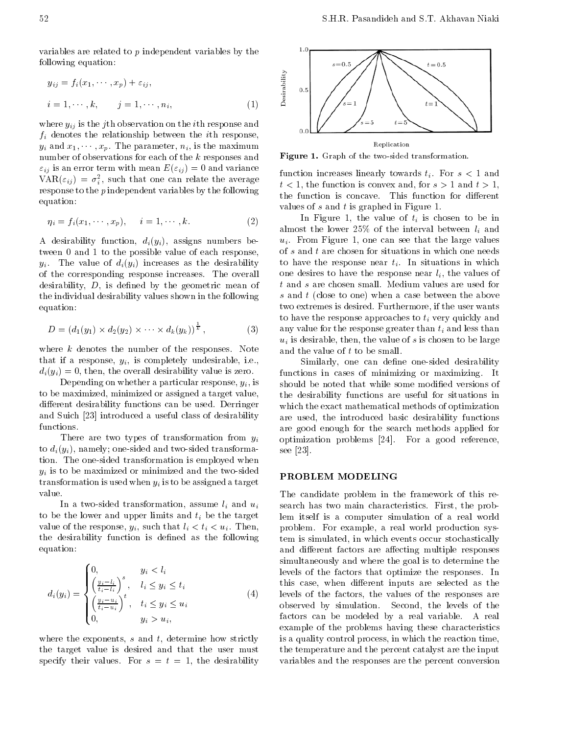variables are related to  $p$  independent variables by the following equation:

$$
y_{ij} = f_i(x_1, \dots, x_p) + \varepsilon_{ij},
$$
  
\n
$$
i = 1, \dots, k, \qquad j = 1, \dots, n_i,
$$
  
\n(1)

where  $y_{ij}$  is the j<sup>th</sup> observation on the *i*th response and  $f_i$  denotes the relationship between the *i*th response,  $y_i$  and  $x_1, \dots, x_p$ . The parameter,  $n_i$ , is the maximum number of observations for each of the  $k$  responses and  $\varepsilon_{ij}$  is an error term with mean  $E(\varepsilon_{ij}) = 0$  and variance  $VAN(\varepsilon_{ij}) = \sigma_i^2$ , such that one can relate the average response to the p independent variables by the following equation:

$$
\eta_i = f_i(x_1, \cdots, x_p), \quad i = 1, \cdots, k. \tag{2}
$$

A desirability function,  $d_i(y_i)$ , assigns numbers between <sup>0</sup> and 1 to the possible value of each response,  $y_i$ . The value of  $d_i(y_i)$  increases as the desirability of the corresponding response increases. The overall desirability,  $D$ , is defined by the geometric mean of the individual desirability values shown in the following equation:

$$
D = (d_1(y_1) \times d_2(y_2) \times \cdots \times d_k(y_k))^{\frac{1}{k}}, \tag{3}
$$

where  $k$  denotes the number of the responses. Note that if a response,  $y_i$ , is completely undesirable, i.e.,  $d_i(y_i) = 0$ , then, the overall desirability value is zero.

Depending on whether a particular response,  $y_i$ , is to be maximized, minimized or assigned a target value, different desirability functions can be used. Derringer and Suich [23] introduced a useful class of desirability functions.

There are two types of transformation from  $y_i$ to  $d_i(y_i)$ , namely; one-sided and two-sided transformation. The one-sided transformation is employed when  $y_i$  is to be maximized or minimized and the two-sided transformation is used when  $y_i$  is to be assigned a target value.

In a two-sided transformation, assume  $l_i$  and  $u_i$ to be the lower and upper limits and  $t_i$  be the target value of the response,  $y_i$ , such that  $l_i < t_i < u_i$ . Then, the desirability function is defined as the following equation:

$$
d_i(y_i) = \begin{cases} 0, & y_i < l_i \\ \left(\frac{y_i - l_i}{t_i - l_i}\right)^s, & l_i \leq y_i \leq t_i \\ \left(\frac{y_i - u_i}{t_i - u_i}\right)^t, & t_i \leq y_i \leq u_i \\ 0, & y_i > u_i, \end{cases} \tag{4}
$$

where the exponents,  $s$  and  $t$ , determine how strictly the target value is desired and that the user must specify their values. For  $s = t = 1$ , the desirability



Figure 1. Graph of the two-sided transformation.

function increases linearly towards  $t_i$ . For  $s < 1$  and  $t < 1$ , the function is convex and, for  $s > 1$  and  $t > 1$ , the function is concave. This function for different values of s and t is graphed in Figure 1.

In Figure 1, the value of  $t_i$  is chosen to be in almost the lower 25% of the interval between  $l_i$  and  $u_i$ . From Figure 1, one can see that the large values of s and t are chosen for situations in which one needs to have the response near  $t_i$ . In situations in which one desires to have the response near  $l_i$ , the values of t and s are chosen small. Medium values are used for s and t (close to one) when a case between the above two extremes is desired. Furthermore, if the user wants to have the response approaches to  $t_i$  very quickly and any value for the response greater than  $t_i$  and less than  $u_i$  is desirable, then, the value of s is chosen to be large and the value of t to be small.

Similarly, one can define one-sided desirability functions in cases of minimizing or maximizing. It should be noted that while some modified versions of the desirability functions are useful for situations in which the exact mathematical methods of optimization are used, the introduced basic desirability functions are good enough for the search methods applied for optimization problems [24]. For <sup>a</sup> good reference, see [23].

### PROBLEM MODELING

 $\mathcal{L} = \mathcal{L}$  . The factors of the responses are responses and the responses are responsible to the responses are responsible to the responses are  $\mathcal{L} = \mathcal{L} = \mathcal{L}$ The candidate problem in the framework of this research has two main characteristics. First, the problem itself is <sup>a</sup> computer simulation of <sup>a</sup> real world problem. For example, <sup>a</sup> real world production system is simulated, in which events occur stochastically and different factors are affecting multiple responses simultaneously and where the goal is to determine the levels of the factors that optimize the responses. In this case, when different inputs are selected as the observed by simulation. Second, the levels of the factors can be modeled by <sup>a</sup> real variable. <sup>A</sup> real example of the problems having these characteristics is a quality control process, in which the reaction time, the temperature and the percent catalyst are the input variables and the responses are the percent conversion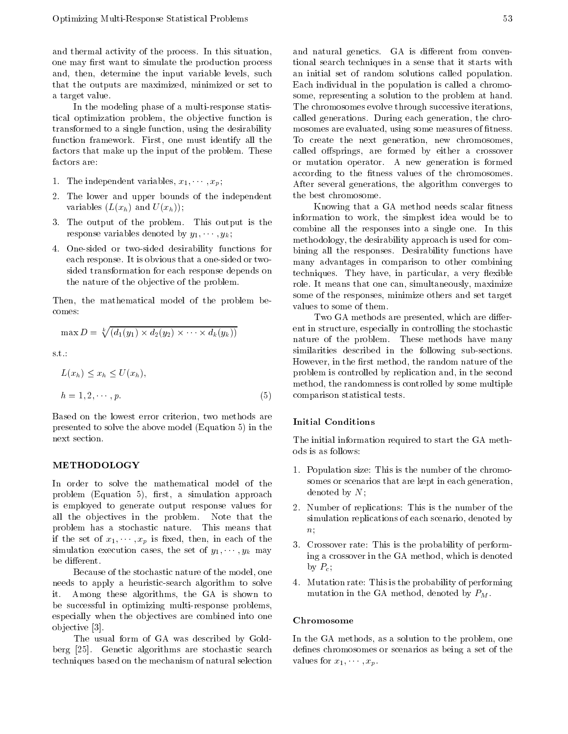and thermal activity of the process. In this situation, one may first want to simulate the production process and, then, determine the input variable levels, such that the outputs are maximized, minimized or set to <sup>a</sup> target value.

In the modeling phase of a multi-response statistical optimization problem, the objective function is transformed to a single function, using the desirability function framework. First, one must identify all the factors that make up the input of the problem. These factors are:

- 1. The independent variables,  $x_1, \dots, x_p$ ;
- 2. The lower and upper bounds of the independent variables  $(L(x_h)$  and  $U(x_h))$ ;
- 3. The output of the problem. This output is the response variables denoted by  $y_1, \dots, y_k$ ;
- 4. One-sided or two-sided desirability functions for each response. It is obvious that a one-sided or twosided transformation for each response depends on the nature of the ob jective of the problem.

Then, the mathematical model of the problem becomes:

$$
\max D = \sqrt[k]{(d_1(y_1) \times d_2(y_2) \times \cdots \times d_k(y_k))}
$$

s.t.:

$$
L(x_h) \le x_h \le U(x_h),
$$
 p  
\n
$$
h = 1, 2, \cdots, p.
$$
 (5) c

Based on the lowest error criterion, two methods are presented to solve the above model (Equation 5) in the next section.

In order to solve the mathematical model of the problem (Equation 5), first, a simulation approach is employed to generate output response values for all the ob jectives in the problem. Note that the problem has <sup>a</sup> stochastic nature. This means that if the set of  $x_1, \dots, x_p$  is fixed, then, in each of the simulation execution cases, the set of  $y_1, \dots, y_k$  may be different.

Because of the stochastic nature of the model, one needs to apply <sup>a</sup> heuristic-search algorithm to solve it. Among these algorithms, the GA is shown to be successful in optimizing multi-response problems, especially when the objectives are combined into one ob jective [3].

The usual form of GA was described by Goldberg [25]. Genetic algorithms are stochastic search techniques based on the mechanism of natural selection

and natural genetics. GA is different from conventional search techniques in a sense that it starts with an initial set of random solutions called population. Each individual in the population is called a chromosome, representing a solution to the problem at hand. The chromosomes evolve through successive iterations, called generations. During each generation, the chromosomes are evaluated, using some measures of fitness. To create the next generation, new chromosomes, called offsprings, are formed by either a crossover or mutation operator. A new generation is formed according to the fitness values of the chromosomes. After several generations, the algorithm converges to the best chromosome.

Knowing that a GA method needs scalar fitness information to work, the simplest idea would be to combine all the responses into <sup>a</sup> single one. In this methodology, the desirability approach is used for combining all the responses. Desirability functions have many advantages in comparison to other combining techniques. They have, in particular, a very flexible role. It means that one can, simultaneously, maximize some of the responses, minimize others and set target values to some of them.

Two GA methods are presented, which are different in structure, especially in controlling the stochastic nature of the problem. These methods have many similarities described in the following sub-sections. However, in the first method, the random nature of the problem is controlled by replication and, in the second method, the randomness is controlled by some multiple comparison statistical tests.

The initial information required to start the GA methods is as follows:

- 1. Population size: This is the number of the chromosomes or scenarios that are kept in each generation, denoted by N;
- 2. Number of replications: This is the number of the simulation replications of each scenario, denoted by  $n;$
- 3. Crossover rate: This is the probability of performing a crossover in the GA method, which is denoted by  $P_c$ ;
- 4. Mutation rate: This is the probability of performing mutation in the GA method, denoted by  $P_M$ .

#### Chromosome

In the GA methods, as a solution to the problem, one defines chromosomes or scenarios as being a set of the values for  $x_1, \cdots, x_p$ .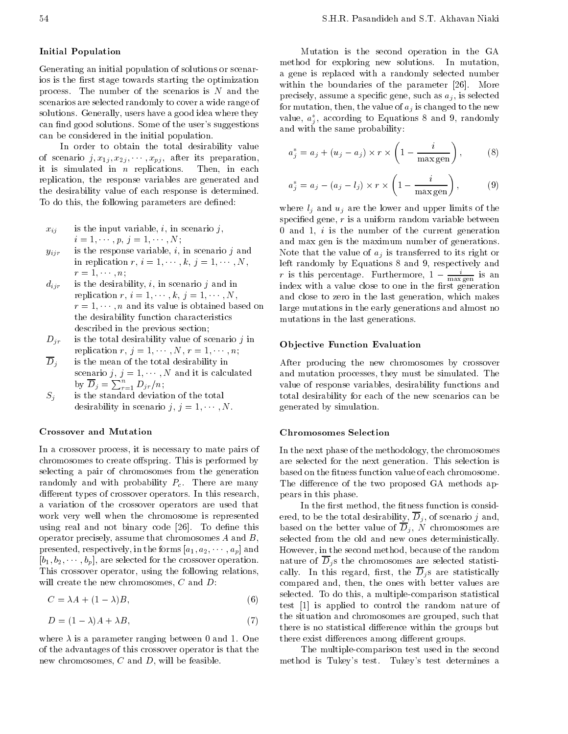# Initial Population

Generating an initial population of solutions or scenarios is the first stage towards starting the optimization process. The number of the scenarios is  $N$  and the scenarios are selected randomly to cover a wide range of solutions. Generally, users have a good idea where they can find good solutions. Some of the user's suggestions can be considered in the initial population.

In order to obtain the total desirability value of scenario  $j, x_{1j}, x_{2j}, \cdots, x_{pj}$ , after its preparation, it is simulated in  $n$  replications. Then, in each replication, the response variables are generated and the desirability value of each response is determined. To do this, the following parameters are defined:

$$
x_{ij}
$$
 is the input variable, *i*, in scenario *j*,  
 $i = 1, \dots, p, j = 1, \dots, N;$ 

- $y_{ijr}$  is the response variable, *i*, in scenario *j* and in replication r,  $i = 1, \dots, k, j = 1, \dots, N$ ,  $r = 1, \cdots, n;$
- $d_{ijr}$  is the desirability, i, in scenario j and in replication  $r, i = 1, \dots, k, j = 1, \dots, N$ ,  $r = 1, \dots, n$  and its value is obtained based on the desirability function characteristics described in the previous section;
- $D_{ir}$  is the total desirability value of scenario j in replication  $r, j = 1, \dots, N, r = 1, \dots, n;$
- $\overline{D}_j$  is the mean of the total desirability in scenario j,  $j = 1, \dots, N$  and it is calculated by  $D_j = \sum_{r=1}^n D_{jr}/n;$
- $S_i$  is the standard deviation of the total desirability in scenario j,  $j = 1, \dots, N$ .

### Crossover and Mutation

In a crossover process, it is necessary to mate pairs of chromosomes to create offspring. This is performed by selecting <sup>a</sup> pair of chromosomes from the generation randomly and with probability  $P_c$ . There are many different types of crossover operators. In this research, <sup>a</sup> variation of the crossover operators are used that work very well when the chromosome is represented using real and not binary code [26]. To define this operator precisely, assume that chromosomes A and B, presented, respectively, in the forms  $[a_1, a_2, \dots, a_p]$  and  $[b_1, b_2, \cdots, b_p]$ , are selected for the crossover operation. This crossover operator, using the following relations, will create the new chromosomes,  $C$  and  $D$ :

$$
C = \lambda A + (1 - \lambda)B,\tag{6}
$$

$$
D = (1 \quad \lambda)A + \lambda B,\tag{7}
$$

where  $\lambda$  is a parameter ranging between 0 and 1. One of the advantages of this crossover operator is that the new chromosomes,  $C$  and  $D$ , will be feasible.

Mutation is the second operation in the GA method for exploring new solutions. In mutation, <sup>a</sup> gene is replaced with <sup>a</sup> randomly selected number within the boundaries of the parameter [26]. More precisely, assume a specific gene, such as  $a_j$ , is selected for mutation, then, the value of  $a_j$  is changed to the new value,  $a_i$ , according to Equations 8 and 9, randomly <sup>j</sup> and with the same probability:

$$
a_j^* = a_j + (u_j - a_j) \times r \times \left(1 - \frac{i}{\max \text{gen}}\right),\qquad(8)
$$

$$
a_j^* = a_j \quad (a_j \quad l_j) \times r \times \left(1 \quad \frac{i}{\max \text{gen}}\right), \quad (9)
$$

where  $l_j$  and  $u_j$  are the lower and upper limits of the specified gene,  $r$  is a uniform random variable between 0 and 1,  $i$  is the number of the current generation and max gen is the maximum number of generations. Note that the value of  $a_j$  is transferred to its right or left randomly by Equations 8 and 9, respectively and  $r$  is this percentage. Furthermore, 1  $\frac{1}{\max \text{gen}}$  is an index with a value close to one in the first generation and close to zero in the last generation, which makes large mutations in the early generations and almost no mutations in the last generations.

### Objective Function Evaluation

After producing the new chromosomes by crossover and mutation processes, they must be simulated. The value of response variables, desirability functions and total desirability for each of the new scenarios can be generated by simulation.

### Chromosomes Selection

In the next phase of the methodology, the chromosomes are selected for the next generation. This selection is based on the fitness function value of each chromosome. The difference of the two proposed GA methods appears in this phase.

In the first method, the fitness function is considered, to be the total desirability,  $\overline{D}_j$ , of scenario j and, based on the better value of  $\overline{D}_j$ , N chromosomes are selected from the old and new ones deterministically. However, in the second method, because of the random nature of  $\overline{D}_i$  s the chromosomes are selected statistically. In this regard, first, the  $\overline{D}_j$ s are statistically compared and, then, the ones with better values are selected. To do this, a multiple-comparison statistical test [1] is applied to control the random nature of the situation and chromosomes are grouped, such that there is no statistical difference within the groups but there exist differences among different groups.

The multiple-comparison test used in the second method is Tukey's test. Tukey's test determines <sup>a</sup>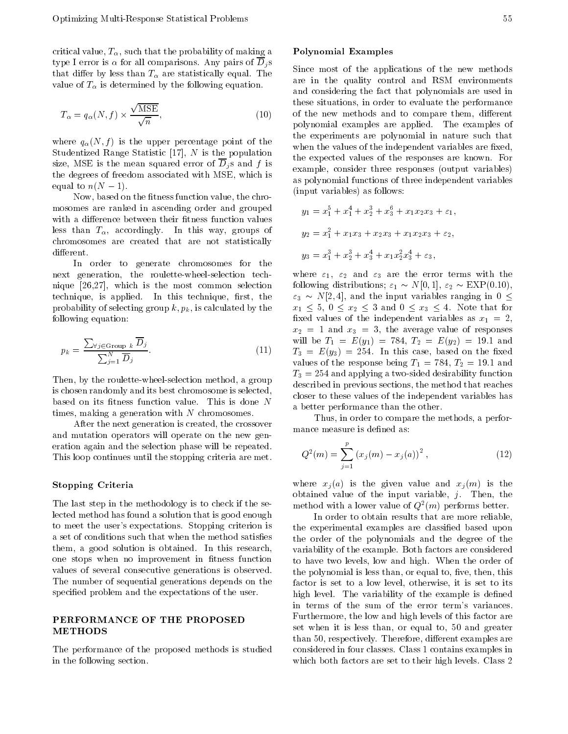critical value,  $T_{\alpha}$ , such that the probability of making a type I error is  $\alpha$  for all comparisons. Any pairs of  $\overline{D}_i$ s that differ by less than  $T_{\alpha}$  are statistically equal. The value of  $T_{\alpha}$  is determined by the following equation.

$$
T_{\alpha} = q_{\alpha}(N, f) \times \frac{\sqrt{\text{MSE}}}{\sqrt{n}},
$$
\n(10)

where  $q_{\alpha}(N, f)$  is the upper percentage point of the Studentized Range Statistic  $[17]$ , N is the population size, MSE is the mean squared error of  $\overline{D}_i$  s and f is the degrees of freedom associated with MSE, which is equal to  $n(N-1)$ .

Now, based on the fitness function value, the chromosomes are ranked in ascending order and grouped with a difference between their fitness function values less than  $T_{\alpha}$ , accordingly. In this way, groups of chromosomes are created that are not statistically different.

In order to generate chromosomes for the next generation, the roulette-wheel-selection technique [26,27], which is the most common selection technique, is applied. In this technique, first, the probability of selecting group  $k, p_k$ , is calculated by the following equation:

$$
p_k = \frac{\sum_{\forall j \in \text{Group } k} \overline{D}_j}{\sum_{j=1}^N \overline{D}_j}.
$$
\n(11)

Then, by the roulette-wheel-selection method, a group is chosen randomly and its best chromosome is selected, based on its fitness function value. This is done  $N$ times, making a generation with  $N$  chromosomes.

After the next generation is created, the crossover and mutation operators will operate on the new generation again and the selection phase will be repeated. This loop continues until the stopping criteria are met.

## Stopping Criteria

The last step in the methodology is to check if the selected method has found a solution that is good enough to meet the user's expectations. Stopping criterion is a set of conditions such that when the method satisfies them, a good solution is obtained. In this research, one stops when no improvement in fitness function values of several consecutive generations is observed. The number of sequential generations depends on the specied problem and the expectations of the user.

# PERFORMANCE OF THE PROPOSED METHODS

The performance of the proposed methods is studied in the following section.

Since most of the applications of the new methods are in the quality control and RSM environments and considering the fact that polynomials are used in these situations, in order to evaluate the performance of the new methods and to compare them, different polynomial examples are applied. The examples of the experiments are polynomial in nature such that when the values of the independent variables are fixed, the expected values of the responses are known. For example, consider three responses (output variables) as polynomial functions of three independent variables (input variables) as follows:

$$
y_1 = x_1^5 + x_1^4 + x_2^3 + x_3^6 + x_1x_2x_3 + \varepsilon_1,
$$
  
\n
$$
y_2 = x_1^2 + x_1x_3 + x_2x_3 + x_1x_2x_3 + \varepsilon_2,
$$
  
\n
$$
y_3 = x_1^3 + x_2^3 + x_3^4 + x_1x_2^2x_3^4 + \varepsilon_3,
$$

where  $1$ ,  $2$  and  $3$  are the error terms with the error terms with the error terms with the error terms with the error terms with the error terms with the error terms with the error terms with the error terms with the er following distributions; "1 N[0; 1], "2 EXP(0:10),  $\alpha$  , and the input variable input variables ranged in  $\alpha$  and  $\alpha$  $x_1$  , and  $x_2$  is defined to the form  $x_1$  and  $x_2$  and  $x_3$  and  $x_4$ xed values of the independent variables as x1 <sup>=</sup> 2, x2 <sup>=</sup> <sup>1</sup> and x3 <sup>=</sup> 3, the average value of responses will be T1 <sup>=</sup> E(y1) <sup>=</sup> 784, T2 <sup>=</sup> E(y2) <sup>=</sup> 19:1 and  $\overline{S}$  and  $\overline{S}$  . In this case, based on this case, based on the  $\overline{S}$ values of the response being T1 <sup>=</sup> 784, T2 <sup>=</sup> 19:1 and T3  $\sim$  254 and applying a two-sided desirability function function function  $\mu$ described in previous sections, the method that reaches closer to these values of the independent variables has <sup>a</sup> better performance than the other.

Thus, in order to compare the methods, a performance measure is defined as:

$$
Q^{2}(m) = \sum_{j=1}^{p} (x_{j}(m) - x_{j}(a))^{2}, \qquad (12)
$$

where  $x_j(a)$  is the given value and  $x_j(m)$  is the obtained value of the input variable,  $j$ . Then, the method with a lower value of  $Q^-(m)$  performs better.

In order to obtain results that are more reliable, the experimental examples are classied based upon the order of the polynomials and the degree of the variability of the example. Both factors are considered to have two levels, low and high. When the order of the polynomial is less than, or equal to, five, then, this factor is set to <sup>a</sup> low level, otherwise, it is set to its high level. The variability of the example is defined in terms of the sum of the error term's variances. Furthermore, the low and high levels of this factor are set when it is less than, or equal to, <sup>50</sup> and greater than 50, respectively. Therefore, different examples are considered in four classes. Class 1 contains examples in which both factors are set to their high levels. Class 2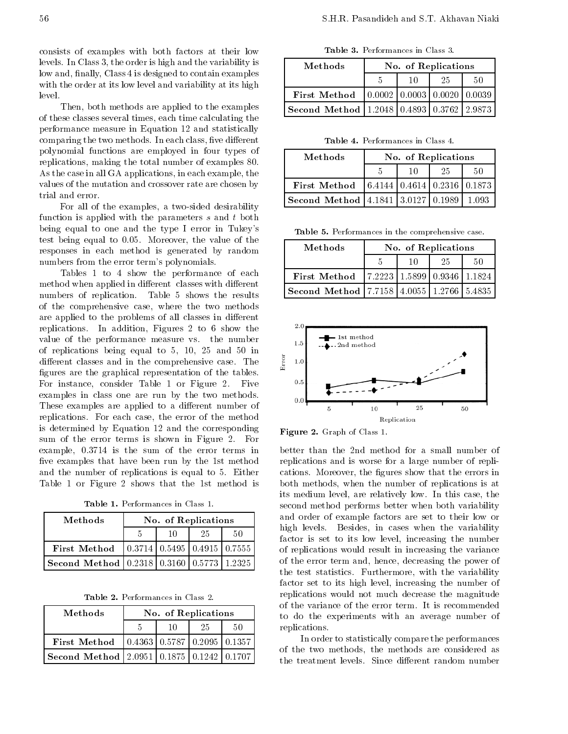consists of examples with both factors at their low levels. In Class 3, the order is high and the variability is low and, finally, Class 4 is designed to contain examples with the order at its low level and variability at its high level.

Then, both methods are applied to the examples of these classes several times, each time calculating the performance measure in Equation 12 and statistically comparing the two methods. In each class, five different polynomial functions are employed in four types of replications, making the total number of examples 80. As the case in all GA applications, in each example, the values of the mutation and crossover rate are chosen by trial and error.

For all of the examples, <sup>a</sup> two-sided desirability function is applied with the parameters s and t both being equal to one and the type <sup>I</sup> error in Tukey's test being equal to 0.05. Moreover, the value of the responses in each method is generated by random numbers from the error term's polynomials.

Tables 1 to 4 show the performance of each method when applied in different classes with different numbers of replication. Table <sup>5</sup> shows the results of the comprehensive case, where the two methods are applied to the problems of all classes in different replications. In addition, Figures <sup>2</sup> to <sup>6</sup> show the value of the performance measure vs. the number of replications being equal to 5, 10, <sup>25</sup> and <sup>50</sup> in different classes and in the comprehensive case. The  $\frac{5}{4}$ figures are the graphical representation of the tables. For instance, consider Table <sup>1</sup> or Figure 2. Five examples in class one are run by the two methods. These examples are applied to a different number of replications. For each case, the error of the method is determined by Equation <sup>12</sup> and the corresponding sum of the error terms is shown in Figure 2. For example, 0.3714 is the sum of the error terms in five examples that have been run by the 1st method and the number of replications is equal to 5. Either Table <sup>1</sup> or Figure <sup>2</sup> shows that the 1st method is

Table 1. Performances in Class 1.

| Methods                                   | No. of Replications                                   |    |    |  |  |  |
|-------------------------------------------|-------------------------------------------------------|----|----|--|--|--|
|                                           | 10                                                    | 25 | 50 |  |  |  |
| First Method                              | $\vert 0.3714 \vert 0.5495 \vert 0.4915 \vert 0.7555$ |    |    |  |  |  |
| Second Method 0.2318 0.3160 0.5773 1.2325 |                                                       |    |    |  |  |  |

Table 2. Performances in Class 2.

| Methods                                                                               | No. of Replications | t٥ |    |    |    |
|---------------------------------------------------------------------------------------|---------------------|----|----|----|----|
|                                                                                       |                     | 10 | 25 | 50 | r. |
| <b>First Method</b> $\begin{bmatrix} 0.4363 & 0.5787 & 0.2095 & 0.1357 \end{bmatrix}$ |                     |    |    |    |    |
| Second Method   2.0951   0.1875   0.1242   0.1707                                     |                     |    |    |    | O. |

Methods | No. of Replications <sup>5</sup> <sup>10</sup> <sup>25</sup> <sup>50</sup> First Method  $(0.0002 | 0.0003 | 0.0020 | 0.0039)$ Second Method 1.2048 0.4893 0.3762 2.9873

Table 3. Performances in Class 3.

Table 4. Performances in Class 4.

| Methods                                   | No. of Replications |    |                                                       |         |
|-------------------------------------------|---------------------|----|-------------------------------------------------------|---------|
|                                           |                     | 10 | 25                                                    | 50      |
| First Method                              |                     |    | $\vert 6.4144 \vert 0.4614 \vert 0.2316 \vert 0.1873$ |         |
| <b>Second Method</b> 4.1841 3.0127 0.1989 |                     |    |                                                       | - 1.093 |

Table 5. Performances in the comprehensive case.

| Methods                                           | No. of Replications |    |    |    |
|---------------------------------------------------|---------------------|----|----|----|
|                                                   |                     | 10 | 25 | 50 |
| First Method   7.2223   1.5899   0.9346   1.1824  |                     |    |    |    |
| Second Method   7.7158   4.0055   1.2766   5.4835 |                     |    |    |    |



 $\mathbf{F}$   $\mathbf{F}$  and  $\mathbf{F}$  are computed to  $\mathbf{F}$  . The contract  $\mathbf{F}$ 

better than the 2nd method for <sup>a</sup> small number of replications and is worse for <sup>a</sup> large number of replications. Moreover, the figures show that the errors in both methods, when the number of replications is at its medium level, are relatively low. In this case, the second method performs better when both variability and order of example factors are set to their low or high levels. Besides, in cases when the variability factor is set to its low level, increasing the number of replications would result in increasing the variance of the error term and, hence, decreasing the power of the test statistics. Furthermore, with the variability factor set to its high level, increasing the number of replications would not much decrease the magnitude of the variance of the error term. It is recommended to do the experiments with an average number of replications.

In order to statistically compare the performances of the two methods, the methods are considered as the treatment levels. Since different random number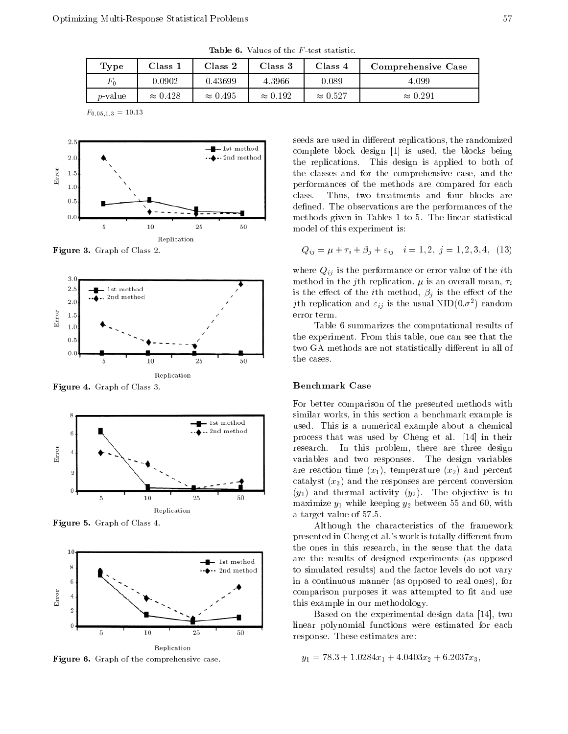**Table 6.** Values of the F-test statistic.

| Type            | $\rm Class$     | Class 2         | Class 3         | Class 4         | Comprehensive Case |
|-----------------|-----------------|-----------------|-----------------|-----------------|--------------------|
| $F_{\rm 0}$     | 0.0902          | 0.43699         | 4.3966          | 0.089           | 4.099              |
| <i>p</i> -value | $\approx 0.428$ | $\approx 0.495$ | $\approx 0.192$ | $\approx 0.527$ | $\approx 0.291$    |

 $F_{0.05,1.3} = 10.13$ 



Figure 3. Graph of Class 2.



Figure 4. Graph of Class 3.



Figure 5. Graph of Class 4.



Figure 6. Graph of the comprehensive case.

seeds are used in different replications, the randomized complete block design [1] is used, the blocks being the replications. This design is applied to both of the classes and for the comprehensive case, and the performances of the methods are compared for each Thus, two treatments and four blocks are class. defined. The observations are the performances of the methods given in Tables 1 to 5. The linear statistical model of this experiment is:

$$
Q_{ij} = \mu + \tau_i + \beta_j + \varepsilon_{ij} \quad i = 1, 2, \ j = 1, 2, 3, 4, \ (13)
$$

where  $Q_{ij}$  is the performance or error value of the *i*th method in the j<sup>th</sup> replication,  $\mu$  is an overall mean,  $\tau_i$ is the effect of the *i*th method,  $\beta_j$  is the effect of the  $j$ th replication and  $\varepsilon_{ij}$  is the usual NID(0, $\sigma$ ) random error term.

Table 6 summarizes the computational results of the experiment. From this table, one can see that the two GA methods are not statistically different in all of the cases.

## Benchmark Case

For better comparison of the presented methods with similar works, in this section a benchmark example is used. This is <sup>a</sup> numerical example about <sup>a</sup> chemical process that was used by Cheng et al. [14] in their research. In this problem, there are three design variables and two responses. The design variables are reaction time  $(x_1)$ , temperature  $(x_2)$  and percent catalyst  $(x_3)$  and the responses are percent conversion  $(y_1)$  and thermal activity  $(y_2)$ . The objective is to maximize the value of the keeping y2 between the theory of the first with  $\alpha$ <sup>a</sup> target value of 57.5.

Although the characteristics of the framework presented in Cheng et al.'s work is totally different from the ones in this research, in the sense that the data are the results of designed experiments (as opposed to simulated results) and the factor levels do not vary in a continuous manner (as opposed to real ones), for comparison purposes it was attempted to fit and use this example in our methodology.

Based on the experimental design data [14], two linear polynomial functions were estimated for each response. These estimates are:

 $y$  and  $y$  and  $y$  and  $y$  and  $y$  and  $y$  and  $y$  and  $y$  and  $z$   $y$  and  $z$   $z$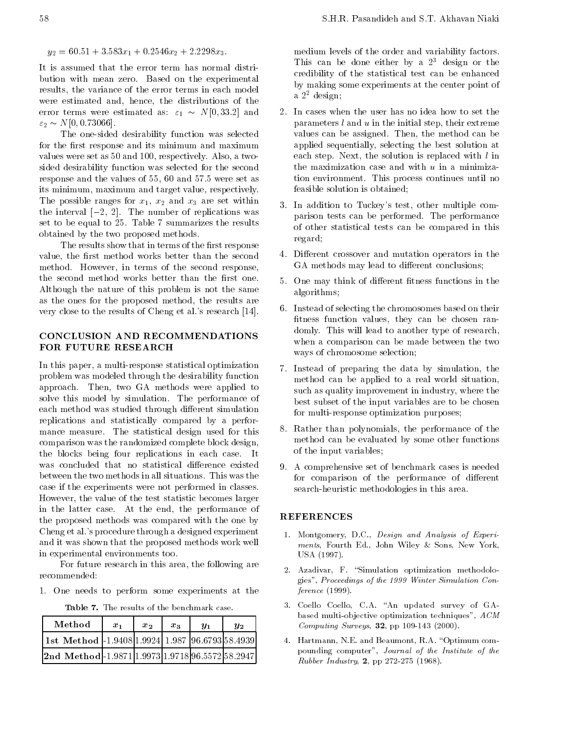$\overline{\phantom{a}}$  , and  $\overline{\phantom{a}}$  , and  $\overline{\phantom{a}}$  , and  $\overline{\phantom{a}}$  ,  $\overline{\phantom{a}}$  ,  $\overline{\phantom{a}}$ 

It is assumed that the error term has normal distribution with mean zero. Based on the experimental results, the variance of the error terms in each model were estimated and, hence, the distributions of the error terms were estimated as: "1 N[0; 33:2] and "2 N[0; 0:73066].

The one-sided desirability function was selected for the first response and its minimum and maximum values were set as 50 and 100, respectively. Also, a twosided desirability function was selected for the second response and the values of 55, 60 and 57.5 were set as its minimum, maximum and target value, respectively. The possible ranges for x1, x2 and x3 are set within the interval  $[-2, 2]$ . The number of replications was set to be equal to 25. Table 7 summarizes the results obtained by the two proposed methods.

The results show that in terms of the first response value, the first method works better than the second method. However, in terms of the second response, the second method works better than the first one. Although the nature of this problem is not the same as the ones for the proposed method, the results are very close to the results of Cheng et al.'s research [14].

# CONCLUSION AND RECOMMENDATIONS FOR FUTURE RESEARCH

In this paper, a multi-response statistical optimization problem was modeled through the desirability function approach. Then, two GA methods were applied to solve this model by simulation. The performance of each method was studied through different simulation replications and statistically compared by <sup>a</sup> performance measure. The statistical design used for this comparison was the randomized complete block design, the blocks being four replications in each case. It was concluded that no statistical difference existed between the two methods in all situations. This was the case if the experiments were not performed in classes. However, the value of the test statistic becomes larger in the latter case. At the end, the performance of<br>the proposed methods was compared with the one by **REFERENCES** the proposed methods was compared with the one by Cheng et al.'s procedure through a designed experiment and it was shown that the proposed methods work well in experimental environments too.

For future research in this area, the following are recommended:

1. One needs to perform some experiments at the

Table 7. The results of the benchmark case.

| Method                                             | $x_{1}$ | $x_{2}$ | $x_{3}$ | $\mathbf{u}$ | $y_2$ |  |
|----------------------------------------------------|---------|---------|---------|--------------|-------|--|
| 1st Method   1.9408 1.9924  1.987  96.6793 58.4939 |         |         |         |              |       |  |
| 2nd Method 1.9871 1.9973 1.9718 96.5572 58.2947    |         |         |         |              |       |  |

medium levels of the order and variability factors. This can be done either by a  $2<sup>3</sup>$  design or the credibility of the statistical test can be enhanced by making some experiments at the center point of <sup>a</sup> 22 design;

- 2. In cases when the user has no idea how to set the parameters  $l$  and  $u$  in the initial step, their extreme values can be assigned. Then, the method can be applied sequentially, selecting the best solution at each step. Next, the solution is replaced with l in the maximization case and with  $u$  in a minimization environment. This process continues until no feasible solution is obtained;
- 3. In addition to Tuckey's test, other multiple comparison tests can be performed. The performance of other statistical tests can be compared in this regard;
- 4. Different crossover and mutation operators in the GA methods may lead to different conclusions;
- 5. One may think of different fitness functions in the algorithms;
- 6. Instead of selecting the chromosomes based on their fitness function values, they can be chosen randomly. This will lead to another type of research, when <sup>a</sup> comparison can be made between the two ways of chromosome selection;
- 7. Instead of preparing the data by simulation, the method can be applied to <sup>a</sup> real world situation, such as quality improvement in industry, where the best subset of the input variables are to be chosen for multi-response optimization purposes;
- 8. Rather than polynomials, the performance of the method can be evaluated by some other functions of the input variables;
- 9. A comprehensive set of benchmark cases is needed for comparison of the performance of different search-heuristic methodologies in this area.

- 1. Montgomery, D.C., Design and Analysis of Experiments, Fourth Ed., John Wiley & Sons, New York, USA (1997).
- 2. Azadivar, F. "Simulation optimization methodologies", Proceedings of the 1999 Winter Simulation Conference (1999).
- 3. Coello Coello, C.A. "An updated survey of GAbased multi-objective optimization techniques", ACM Computing Surveys, 32, pp 109-143 (2000).
- 4. Hartmann, N.E. and Beaumont, R.A. "Optimum compounding computer", Journal of the Institute of the Rubber Industry, 2, pp 272-275 (1968).